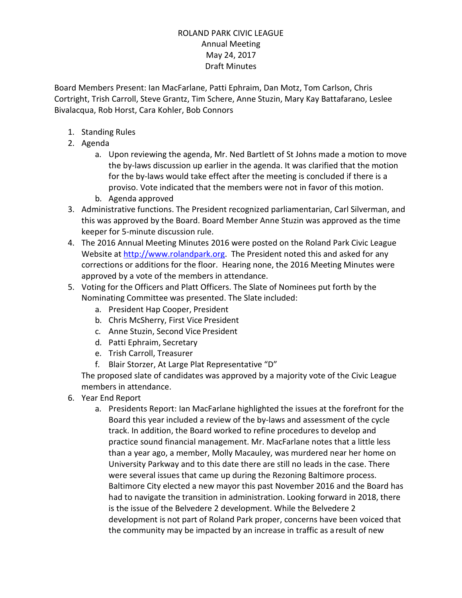Board Members Present: Ian MacFarlane, Patti Ephraim, Dan Motz, Tom Carlson, Chris Cortright, Trish Carroll, Steve Grantz, Tim Schere, Anne Stuzin, Mary Kay Battafarano, Leslee Bivalacqua, Rob Horst, Cara Kohler, Bob Connors

- 1. Standing Rules
- 2. Agenda
	- a. Upon reviewing the agenda, Mr. Ned Bartlett of St Johns made a motion to move the by-laws discussion up earlier in the agenda. It was clarified that the motion for the by-laws would take effect after the meeting is concluded if there is a proviso. Vote indicated that the members were not in favor of this motion.
	- b. Agenda approved
- 3. Administrative functions. The President recognized parliamentarian, Carl Silverman, and this was approved by the Board. Board Member Anne Stuzin was approved as the time keeper for 5-minute discussion rule.
- 4. The 2016 Annual Meeting Minutes 2016 were posted on the Roland Park Civic League Website at [http://www.rolandpark.org.](http://www.rolandpark.org/) The President noted this and asked for any corrections or additions for the floor. Hearing none, the 2016 Meeting Minutes were approved by a vote of the members in attendance.
- 5. Voting for the Officers and Platt Officers. The Slate of Nominees put forth by the Nominating Committee was presented. The Slate included:
	- a. President Hap Cooper, President
	- b. Chris McSherry, First Vice President
	- c. Anne Stuzin, Second Vice President
	- d. Patti Ephraim, Secretary
	- e. Trish Carroll, Treasurer
	- f. Blair Storzer, At Large Plat Representative "D"

The proposed slate of candidates was approved by a majority vote of the Civic League members in attendance.

- 6. Year End Report
	- a. Presidents Report: Ian MacFarlane highlighted the issues at the forefront for the Board this year included a review of the by-laws and assessment of the cycle track. In addition, the Board worked to refine procedures to develop and practice sound financial management. Mr. MacFarlane notes that a little less than a year ago, a member, Molly Macauley, was murdered near her home on University Parkway and to this date there are still no leads in the case. There were several issues that came up during the Rezoning Baltimore process. Baltimore City elected a new mayor this past November 2016 and the Board has had to navigate the transition in administration. Looking forward in 2018, there is the issue of the Belvedere 2 development. While the Belvedere 2 development is not part of Roland Park proper, concerns have been voiced that the community may be impacted by an increase in traffic as a result of new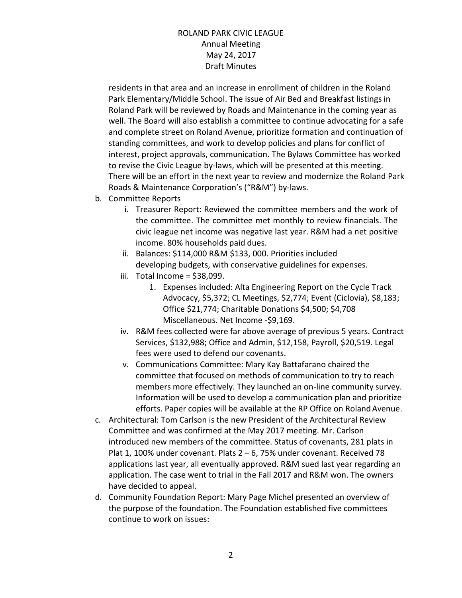residents in that area and an increase in enrollment of children in the Roland Park Elementary/Middle School. The issue of Air Bed and Breakfast listings in Roland Park will be reviewed by Roads and Maintenance in the coming year as well. The Board will also establish a committee to continue advocating for a safe and complete street on Roland Avenue, prioritize formation and continuation of standing committees, and work to develop policies and plans for conflict of interest, project approvals, communication. The Bylaws Committee has worked to revise the Civic League by-laws, which will be presented at this meeting. There will be an effort in the next year to review and modernize the Roland Park Roads & Maintenance Corporation's ("R&M") by-laws.

- b. Committee Reports
	- i. Treasurer Report: Reviewed the committee members and the work of the committee. The committee met monthly to review financials. The civic league net income was negative last year. R&M had a net positive income. 80% households paid dues.
	- ii. Balances: \$114,000 R&M \$133, 000. Priorities included developing budgets, with conservative guidelines for expenses.
	- iii. Total Income =  $$38,099$ .
		- 1. Expenses included: Alta Engineering Report on the Cycle Track Advocacy, \$5,372; CL Meetings, \$2,774; Event (Ciclovia), \$8,183; Office \$21,774; Charitable Donations \$4,500; \$4,708 Miscellaneous. Net Income -\$9,169.
	- iv. R&M fees collected were far above average of previous 5 years. Contract Services, \$132,988; Office and Admin, \$12,158, Payroll, \$20,519. Legal fees were used to defend our covenants.
	- v. Communications Committee: Mary Kay Battafarano chaired the committee that focused on methods of communication to try to reach members more effectively. They launched an on-line community survey. Information will be used to develop a communication plan and prioritize efforts. Paper copies will be available at the RP Office on Roland Avenue.
- c. Architectural: Tom Carlson is the new President of the Architectural Review Committee and was confirmed at the May 2017 meeting. Mr. Carlson introduced new members of the committee. Status of covenants, 281 plats in Plat 1, 100% under covenant. Plats 2 – 6, 75% under covenant. Received 78 applications last year, all eventually approved. R&M sued last year regarding an application. The case went to trial in the Fall 2017 and R&M won. The owners have decided to appeal.
- d. Community Foundation Report: Mary Page Michel presented an overview of the purpose of the foundation. The Foundation established five committees continue to work on issues: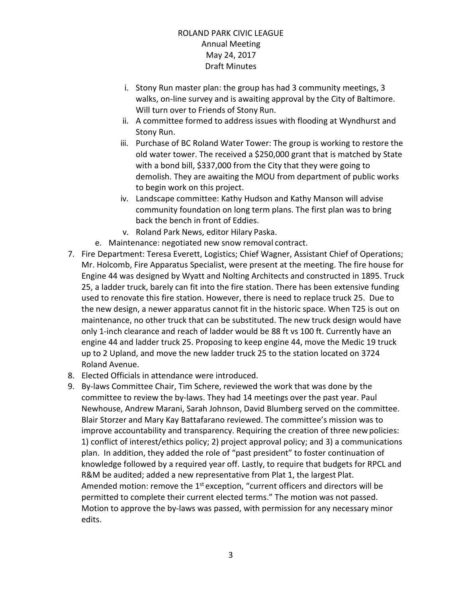- i. Stony Run master plan: the group has had 3 community meetings, 3 walks, on-line survey and is awaiting approval by the City of Baltimore. Will turn over to Friends of Stony Run.
- ii. A committee formed to address issues with flooding at Wyndhurst and Stony Run.
- iii. Purchase of BC Roland Water Tower: The group is working to restore the old water tower. The received a \$250,000 grant that is matched by State with a bond bill, \$337,000 from the City that they were going to demolish. They are awaiting the MOU from department of public works to begin work on this project.
- iv. Landscape committee: Kathy Hudson and Kathy Manson will advise community foundation on long term plans. The first plan was to bring back the bench in front of Eddies.
- v. Roland Park News, editor Hilary Paska.
- e. Maintenance: negotiated new snow removal contract.
- 7. Fire Department: Teresa Everett, Logistics; Chief Wagner, Assistant Chief of Operations; Mr. Holcomb, Fire Apparatus Specialist, were present at the meeting. The fire house for Engine 44 was designed by Wyatt and Nolting Architects and constructed in 1895. Truck 25, a ladder truck, barely can fit into the fire station. There has been extensive funding used to renovate this fire station. However, there is need to replace truck 25. Due to the new design, a newer apparatus cannot fit in the historic space. When T25 is out on maintenance, no other truck that can be substituted. The new truck design would have only 1-inch clearance and reach of ladder would be 88 ft vs 100 ft. Currently have an engine 44 and ladder truck 25. Proposing to keep engine 44, move the Medic 19 truck up to 2 Upland, and move the new ladder truck 25 to the station located on 3724 Roland Avenue.
- 8. Elected Officials in attendance were introduced.
- 9. By-laws Committee Chair, Tim Schere, reviewed the work that was done by the committee to review the by-laws. They had 14 meetings over the past year. Paul Newhouse, Andrew Marani, Sarah Johnson, David Blumberg served on the committee. Blair Storzer and Mary Kay Battafarano reviewed. The committee's mission was to improve accountability and transparency. Requiring the creation of three newpolicies: 1) conflict of interest/ethics policy; 2) project approval policy; and 3) a communications plan. In addition, they added the role of "past president" to foster continuation of knowledge followed by a required year off. Lastly, to require that budgets for RPCL and R&M be audited; added a new representative from Plat 1, the largest Plat. Amended motion: remove the 1<sup>st</sup> exception, "current officers and directors will be permitted to complete their current elected terms." The motion was not passed. Motion to approve the by-laws was passed, with permission for any necessary minor edits.